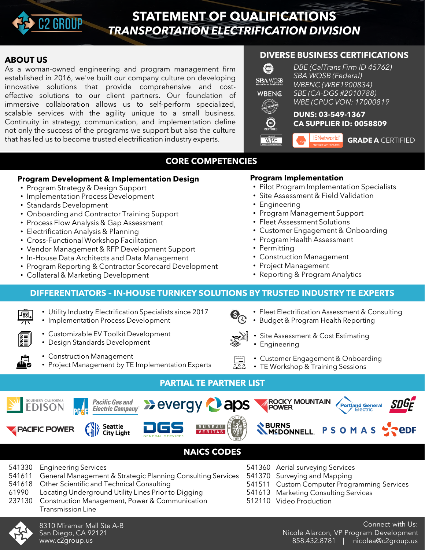

## **STATEMENT OF QUALIFICATIONS** *TRANSPORTATION ELECTRIFICATION DIVISION*

#### **ABOUT US**

As a woman-owned engineering and program management firm established in 2016, we've built our company culture on developing innovative solutions that provide comprehensive and costeffective solutions to our client partners. Our foundation of immersive collaboration allows us to self-perform specialized, scalable services with the agility unique to a small business. Continuity in strategy, communication, and implementation define not only the success of the programs we support but also the culture that has led us to become trusted electrification industry experts.

## **DIVERSE BUSINESS CERTIFICATIONS**



## **CORE COMPETENCIES**

#### **Program Development & Implementation Design**

- Program Strategy & Design Support
- Implementation Process Development
- Standards Development
- Onboarding and Contractor Training Support
- Process Flow Analysis & Gap Assessment
- Electrification Analysis & Planning
- Cross-Functional Workshop Facilitation
- Vendor Management & RFP Development Support
- In-House Data Architects and Data Management
- Program Reporting & Contractor Scorecard Development
- Collateral & Marketing Development

#### **Program Implementation**

- Pilot Program Implementation Specialists
- Site Assessment & Field Validation
- Engineering
- Program Management Support
- Fleet Assessment Solutions
- Customer Engagement & Onboarding
- Program Health Assessment
- Permitting
- Construction Management
- Project Management
- Reporting & Program Analytics

## **DIFFERENTIATORS – IN-HOUSE TURNKEY SOLUTIONS BY TRUSTED INDUSTRY TE EXPERTS**

- Utility Industry Electrification Specialists since 2017 ண
	- Implementation Process Development
		- Customizable EV Toolkit Development
		- Design Standards Development
		- Construction Management
		- Project Management by TE Implementation Experts
- Fleet Electrification Assessment & Consulting
	- Budget & Program Health Reporting
- Site Assessment & Cost Estimating • Engineering
	- Customer Engagement & Onboarding
- TE Workshop & Training Sessions

## **PARTIAL TE PARTNER LIST**



## **NAICS CODES**

- 541330 Engineering Services
- 541611 General Management & Strategic Planning Consulting Services
- 541618 Other Scientific and Technical Consulting
- 61990 Locating Underground Utility Lines Prior to Digging
- 237130 Construction Management, Power & Communication
	- Transmission Line



- 541511 Custom Computer Programming Services
- 541613 Marketing Consulting Services

541360 Aerial surveying Services 541370 Surveying and Mapping

512110 Video Production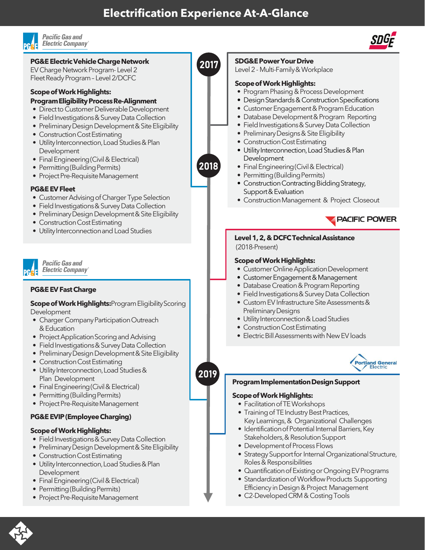## **Electrification Experience At-A-Glance**



#### **Pacific Gas and Electric Company**<sup>®</sup>



- Direct to Customer Deliverable Development
- Field Investigations & Survey Data Collection
- Preliminary Design Development & Site Eligibility
- Construction Cost Estimating
- Utility Interconnection, Load Studies & Plan **Development**
- Final Engineering (Civil & Electrical)
- Permitting (Building Permits)
- Project Pre-Requisite Management

#### **PG&E EV Fleet**

- Customer Advising of Charger Type Selection
- Field Investigations & Survey Data Collection
- Preliminary Design Development & Site Eligibility
- Construction Cost Estimating
- Utility Interconnection and Load Studies



**Pacific Gas and Electric Company** 

#### **PG&E EV Fast Charge**

**Scope of Work Highlights: Program Eligibility Scoring** Development

- Charger Company Participation Outreach &Education
- Project Application Scoring and Advising
- Field Investigations & Survey Data Collection
- Preliminary Design Development & Site Eligibility
- Construction Cost Estimating
- Utility Interconnection, Load Studies & Plan Development
- Final Engineering (Civil & Electrical)
- Permitting (Building Permits)
- Project Pre-Requisite Management

#### **PG&E EVIP (Employee Charging)**

#### **ScopeofWorkHighlights:**

- Field Investigations & Survey Data Collection
- Preliminary Design Development & Site Eligibility
- Construction Cost Estimating
- Utility Interconnection, Load Studies & Plan **Development**
- Final Engineering (Civil & Electrical)
- Permitting (Building Permits)
- Project Pre-Requisite Management



2018

2019

## Level 2- Multi-Family&Workplace

#### **Scope of Work Highlights:**

**SDG&EPowerYourDrive**

- Program Phasing & Process Development
- Design Standards & Construction Specifications
- Customer Engagement & Program Education<br>• Database Dovelopment & Program Bonorting
- Database Development & Program Reporting
- Field Investigations & Survey Data Collection
- Preliminary Designs & Site Eligibility
- Construction Cost Estimating
- Utility Interconnection, Load Studies & Plan Development
- Final Engineering (Civil & Electrical)
- Permitting (Building Permits)
- Construction Contracting Bidding Strategy, Support & Evaluation
- Construction Management & Project Closeout



#### **Level1,2,&DCFCTechnicalAssistance** (2018-Present)

#### **Scope of Work Highlights:**

- Customer Online Application Development
- Customer Engagement & Management
- Database Creation & Program Reporting
- Field Investigations & Survey Data Collection
- Custom EV Infrastructure Site Assessments& Preliminary Designs
- Utility Interconnection & Load Studies
- Construction Cost Estimating
- Electric Bill Assessments with New EV loads



#### **ProgramImplementationDesignSupport**

#### **Scope of Work Highlights:**

- Facilitation of TE Workshops
- Training of TE Industry Best Practices, Key Learnings,& Organizational Challenges
- Identification of Potential Internal Barriers, Key Stakeholders,& Resolution Support
- Development of Process Flows
- Strategy Support for Internal Organizational Structure, Roles & Responsibilities
- Quantification of Existing or Ongoing EV Programs
- Standardization of Workflow Products Supporting Efficiency in Design & Project Management
- C2-Developed CRM & Costing Tools

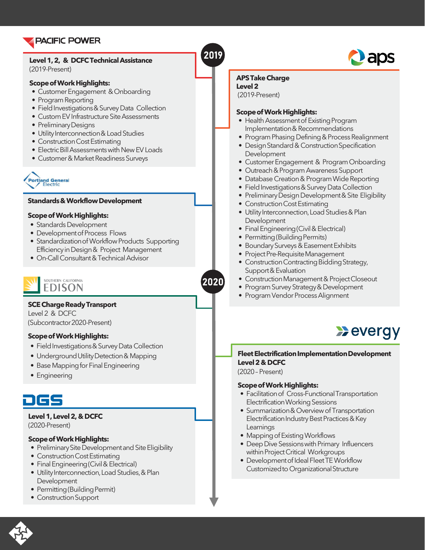

#### **Level1,2, & DCFCTechnicalAssistance** (2019-Present)

#### **Scope of Work Highlights:**

- Customer Engagement & Onboarding
- Program Reporting
- Field Investigations & Survey Data Collection
- Custom EV Infrastructure Site Assessments
- Preliminary Designs
- Utility Interconnection & Load Studies
- Construction Cost Estimating
- Electric Bill Assessments with New EV Loads
- Customer & Market Readiness Surveys



#### **Standards & Workflow Development**

#### **Scope of Work Highlights:**

- Standards Development
- Development of Process Flows
- Standardization of Workflow Products Supporting Efficiency inDesign& Project Management
- On-Call Consultant & Technical Advisor



#### **SCE Charge Ready Transport**

Level 2 & DCFC (Subcontractor2020-Present)

#### **Scope of Work Highlights:**

- Field Investigations & Survey Data Collection
- Underground Utility Detection & Mapping
- Base Mapping for Final Engineering
- Engineering

# 200

#### **Level 1, Level 2, & DCFC**

(2020-Present)

#### **Scope of Work Highlights:**

- Preliminary Site Development and Site Eligibility
- Construction Cost Estimating
- Final Engineering (Civil & Electrical)
- Utility Interconnection, Load Studies, & Plan Development
- Permitting (Building Permit)
- Construction Support



#### **APSTakeCharge**

**Level2**

(2019-Present)

2019

2020

#### **Scope of Work Highlights:**

- Health Assessment of Existing Program Implementation & Recommendations
- Program Phasing Defining & Process Realignment
- Design Standard & Construction Specification Development
- Customer Engagement & Program Onboarding
- Outreach & Program Awareness Support
- Database Creation & Program Wide Reporting
- Field Investigations & Survey Data Collection
- Preliminary Design Development & Site Eligibility
- Construction Cost Estimating
- Utility Interconnection, Load Studies & Plan Development
- Final Engineering (Civil & Electrical)
- Permitting (Building Permits)
- Boundary Surveys & Easement Exhibits
- Project Pre-Requisite Management
- Construction Contracting Bidding Strategy, Support & Evaluation
- Construction Management & Project Closeout
- Program Survey Strategy & Development
- Program Vendor Process Alignment



#### **Fleet Electrification Implementation Development Level 2 &DCFC**

(2020 – Present)

#### **Scope of Work Highlights:**

- Facilitation of Cross-Functional Transportation Electrification Working Sessions
- Summarization & Overview of Transportation Electrification Industry Best Practices & Key Learnings
- Mapping of Existing Workflows
- Deep Dive Sessions with Primary Influencers within Project Critical Workgroups
- Development of Ideal Fleet TE Workflow Customized to Organizational Structure